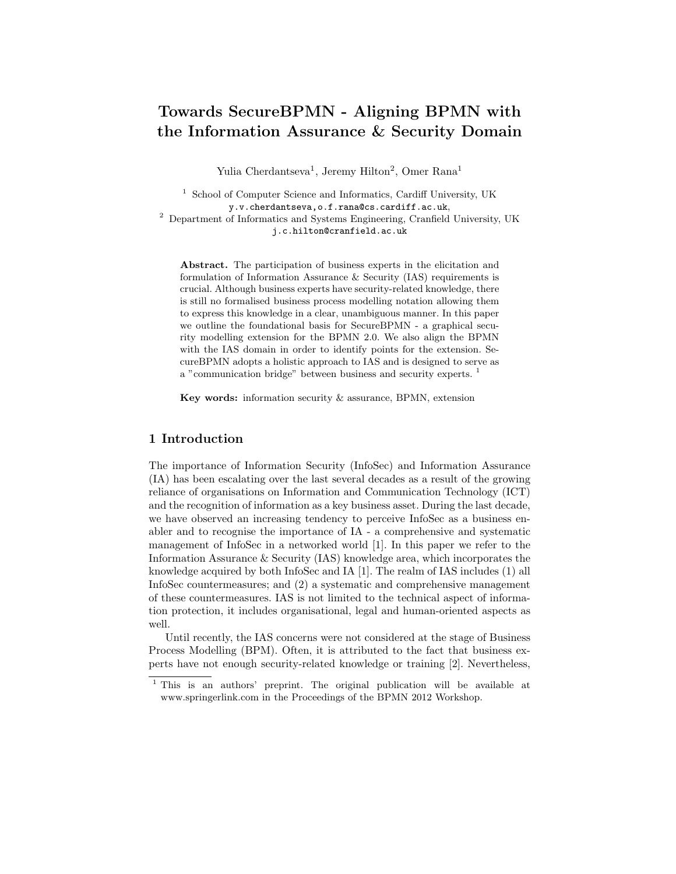# Towards SecureBPMN - Aligning BPMN with the Information Assurance & Security Domain

Yulia Cherdantseva<sup>1</sup>, Jeremy Hilton<sup>2</sup>, Omer Rana<sup>1</sup>

 $^{\rm 1}$  School of Computer Science and Informatics, Cardiff University, UK y.v.cherdantseva,o.f.rana@cs.cardiff.ac.uk, <sup>2</sup> Department of Informatics and Systems Engineering, Cranfield University, UK j.c.hilton@cranfield.ac.uk

Abstract. The participation of business experts in the elicitation and formulation of Information Assurance & Security (IAS) requirements is crucial. Although business experts have security-related knowledge, there is still no formalised business process modelling notation allowing them to express this knowledge in a clear, unambiguous manner. In this paper we outline the foundational basis for SecureBPMN - a graphical security modelling extension for the BPMN 2.0. We also align the BPMN with the IAS domain in order to identify points for the extension. SecureBPMN adopts a holistic approach to IAS and is designed to serve as a "communication bridge" between business and security experts. <sup>1</sup>

Key words: information security & assurance, BPMN, extension

## 1 Introduction

The importance of Information Security (InfoSec) and Information Assurance (IA) has been escalating over the last several decades as a result of the growing reliance of organisations on Information and Communication Technology (ICT) and the recognition of information as a key business asset. During the last decade, we have observed an increasing tendency to perceive InfoSec as a business enabler and to recognise the importance of IA - a comprehensive and systematic management of InfoSec in a networked world [1]. In this paper we refer to the Information Assurance & Security (IAS) knowledge area, which incorporates the knowledge acquired by both InfoSec and IA [1]. The realm of IAS includes (1) all InfoSec countermeasures; and (2) a systematic and comprehensive management of these countermeasures. IAS is not limited to the technical aspect of information protection, it includes organisational, legal and human-oriented aspects as well.

Until recently, the IAS concerns were not considered at the stage of Business Process Modelling (BPM). Often, it is attributed to the fact that business experts have not enough security-related knowledge or training [2]. Nevertheless,

<sup>1</sup> This is an authors' preprint. The original publication will be available at www.springerlink.com in the Proceedings of the BPMN 2012 Workshop.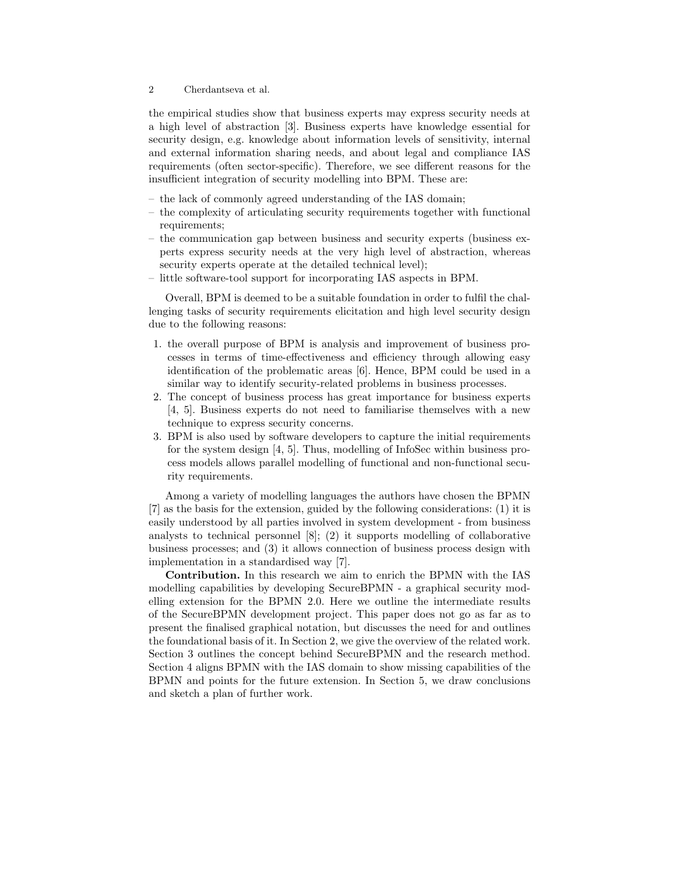the empirical studies show that business experts may express security needs at a high level of abstraction [3]. Business experts have knowledge essential for security design, e.g. knowledge about information levels of sensitivity, internal and external information sharing needs, and about legal and compliance IAS requirements (often sector-specific). Therefore, we see different reasons for the insufficient integration of security modelling into BPM. These are:

- the lack of commonly agreed understanding of the IAS domain;
- the complexity of articulating security requirements together with functional requirements;
- the communication gap between business and security experts (business experts express security needs at the very high level of abstraction, whereas security experts operate at the detailed technical level);
- little software-tool support for incorporating IAS aspects in BPM.

Overall, BPM is deemed to be a suitable foundation in order to fulfil the challenging tasks of security requirements elicitation and high level security design due to the following reasons:

- 1. the overall purpose of BPM is analysis and improvement of business processes in terms of time-effectiveness and efficiency through allowing easy identification of the problematic areas [6]. Hence, BPM could be used in a similar way to identify security-related problems in business processes.
- 2. The concept of business process has great importance for business experts [4, 5]. Business experts do not need to familiarise themselves with a new technique to express security concerns.
- 3. BPM is also used by software developers to capture the initial requirements for the system design [4, 5]. Thus, modelling of InfoSec within business process models allows parallel modelling of functional and non-functional security requirements.

Among a variety of modelling languages the authors have chosen the BPMN [7] as the basis for the extension, guided by the following considerations: (1) it is easily understood by all parties involved in system development - from business analysts to technical personnel [8]; (2) it supports modelling of collaborative business processes; and (3) it allows connection of business process design with implementation in a standardised way [7].

Contribution. In this research we aim to enrich the BPMN with the IAS modelling capabilities by developing SecureBPMN - a graphical security modelling extension for the BPMN 2.0. Here we outline the intermediate results of the SecureBPMN development project. This paper does not go as far as to present the finalised graphical notation, but discusses the need for and outlines the foundational basis of it. In Section 2, we give the overview of the related work. Section 3 outlines the concept behind SecureBPMN and the research method. Section 4 aligns BPMN with the IAS domain to show missing capabilities of the BPMN and points for the future extension. In Section 5, we draw conclusions and sketch a plan of further work.

<sup>2</sup> Cherdantseva et al.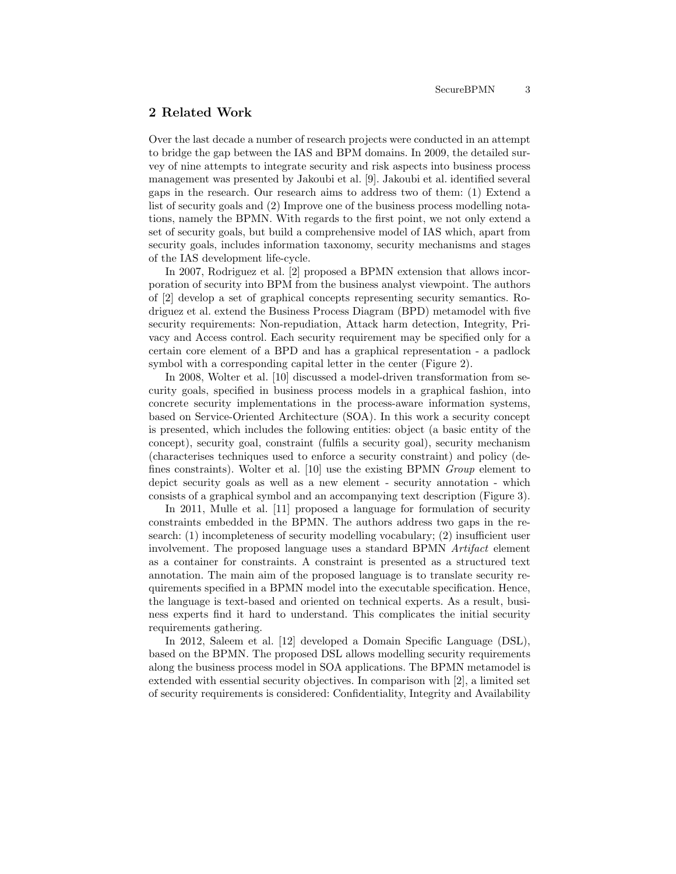## 2 Related Work

Over the last decade a number of research projects were conducted in an attempt to bridge the gap between the IAS and BPM domains. In 2009, the detailed survey of nine attempts to integrate security and risk aspects into business process management was presented by Jakoubi et al. [9]. Jakoubi et al. identified several gaps in the research. Our research aims to address two of them: (1) Extend a list of security goals and (2) Improve one of the business process modelling notations, namely the BPMN. With regards to the first point, we not only extend a set of security goals, but build a comprehensive model of IAS which, apart from security goals, includes information taxonomy, security mechanisms and stages of the IAS development life-cycle.

In 2007, Rodriguez et al. [2] proposed a BPMN extension that allows incorporation of security into BPM from the business analyst viewpoint. The authors of [2] develop a set of graphical concepts representing security semantics. Rodriguez et al. extend the Business Process Diagram (BPD) metamodel with five security requirements: Non-repudiation, Attack harm detection, Integrity, Privacy and Access control. Each security requirement may be specified only for a certain core element of a BPD and has a graphical representation - a padlock symbol with a corresponding capital letter in the center (Figure 2).

In 2008, Wolter et al. [10] discussed a model-driven transformation from security goals, specified in business process models in a graphical fashion, into concrete security implementations in the process-aware information systems, based on Service-Oriented Architecture (SOA). In this work a security concept is presented, which includes the following entities: object (a basic entity of the concept), security goal, constraint (fulfils a security goal), security mechanism (characterises techniques used to enforce a security constraint) and policy (defines constraints). Wolter et al. [10] use the existing BPMN Group element to depict security goals as well as a new element - security annotation - which consists of a graphical symbol and an accompanying text description (Figure 3).

In 2011, Mulle et al. [11] proposed a language for formulation of security constraints embedded in the BPMN. The authors address two gaps in the research: (1) incompleteness of security modelling vocabulary; (2) insufficient user involvement. The proposed language uses a standard BPMN Artifact element as a container for constraints. A constraint is presented as a structured text annotation. The main aim of the proposed language is to translate security requirements specified in a BPMN model into the executable specification. Hence, the language is text-based and oriented on technical experts. As a result, business experts find it hard to understand. This complicates the initial security requirements gathering.

In 2012, Saleem et al. [12] developed a Domain Specific Language (DSL), based on the BPMN. The proposed DSL allows modelling security requirements along the business process model in SOA applications. The BPMN metamodel is extended with essential security objectives. In comparison with [2], a limited set of security requirements is considered: Confidentiality, Integrity and Availability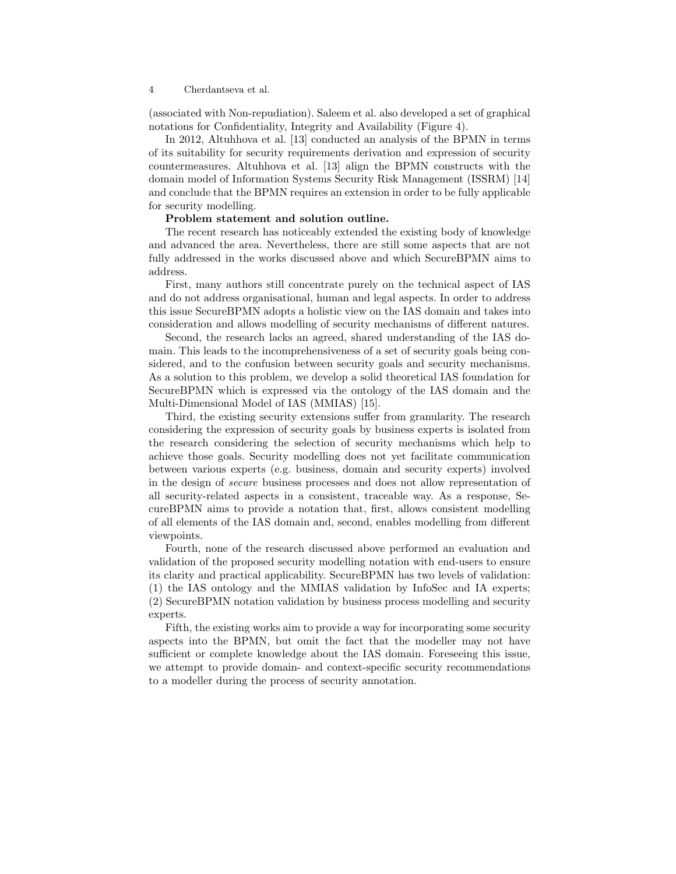#### 4 Cherdantseva et al.

(associated with Non-repudiation). Saleem et al. also developed a set of graphical notations for Confidentiality, Integrity and Availability (Figure 4).

In 2012, Altuhhova et al. [13] conducted an analysis of the BPMN in terms of its suitability for security requirements derivation and expression of security countermeasures. Altuhhova et al. [13] align the BPMN constructs with the domain model of Information Systems Security Risk Management (ISSRM) [14] and conclude that the BPMN requires an extension in order to be fully applicable for security modelling.

## Problem statement and solution outline.

The recent research has noticeably extended the existing body of knowledge and advanced the area. Nevertheless, there are still some aspects that are not fully addressed in the works discussed above and which SecureBPMN aims to address.

First, many authors still concentrate purely on the technical aspect of IAS and do not address organisational, human and legal aspects. In order to address this issue SecureBPMN adopts a holistic view on the IAS domain and takes into consideration and allows modelling of security mechanisms of different natures.

Second, the research lacks an agreed, shared understanding of the IAS domain. This leads to the incomprehensiveness of a set of security goals being considered, and to the confusion between security goals and security mechanisms. As a solution to this problem, we develop a solid theoretical IAS foundation for SecureBPMN which is expressed via the ontology of the IAS domain and the Multi-Dimensional Model of IAS (MMIAS) [15].

Third, the existing security extensions suffer from granularity. The research considering the expression of security goals by business experts is isolated from the research considering the selection of security mechanisms which help to achieve those goals. Security modelling does not yet facilitate communication between various experts (e.g. business, domain and security experts) involved in the design of secure business processes and does not allow representation of all security-related aspects in a consistent, traceable way. As a response, SecureBPMN aims to provide a notation that, first, allows consistent modelling of all elements of the IAS domain and, second, enables modelling from different viewpoints.

Fourth, none of the research discussed above performed an evaluation and validation of the proposed security modelling notation with end-users to ensure its clarity and practical applicability. SecureBPMN has two levels of validation: (1) the IAS ontology and the MMIAS validation by InfoSec and IA experts; (2) SecureBPMN notation validation by business process modelling and security experts.

Fifth, the existing works aim to provide a way for incorporating some security aspects into the BPMN, but omit the fact that the modeller may not have sufficient or complete knowledge about the IAS domain. Foreseeing this issue, we attempt to provide domain- and context-specific security recommendations to a modeller during the process of security annotation.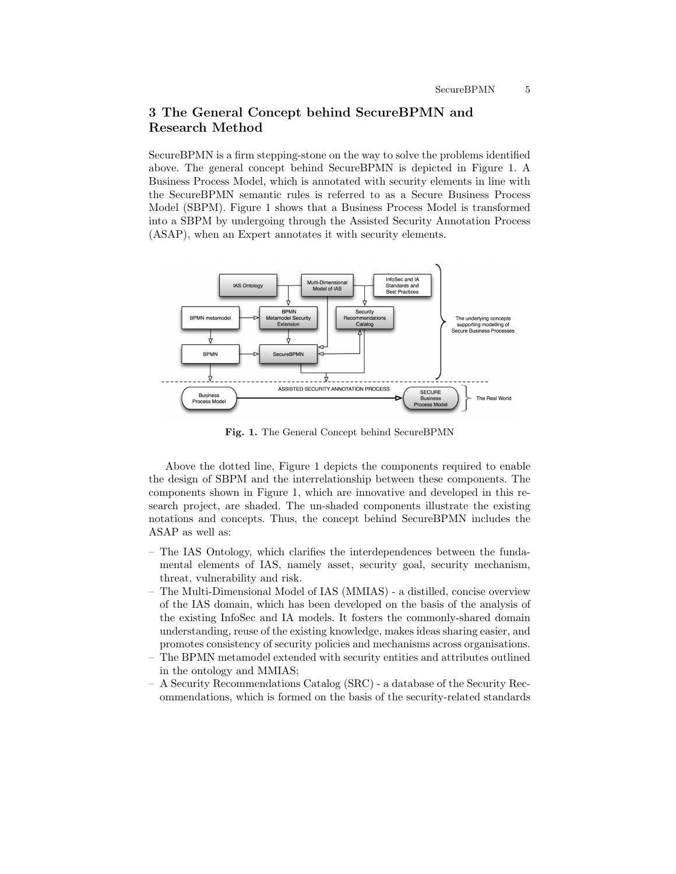# 3 The General Concept behind SecureBPMN and Research Method

SecureBPMN is a firm stepping-stone on the way to solve the problems identified above. The general concept behind SecureBPMN is depicted in Figure 1. A Business Process Model, which is annotated with security elements in line with the SecureBPMN semantic rules is referred to as a Secure Business Process Model (SBPM). Figure 1 shows that a Business Process Model is transformed into a SBPM by undergoing through the Assisted Security Annotation Process (ASAP), when an Expert annotates it with security elements.



Fig. 1. The General Concept behind SecureBPMN

Above the dotted line, Figure 1 depicts the components required to enable the design of SBPM and the interrelationship between these components. The components shown in Figure 1, which are innovative and developed in this research project, are shaded. The un-shaded components illustrate the existing notations and concepts. Thus, the concept behind SecureBPMN includes the ASAP as well as:

- The IAS Ontology, which clarifies the interdependences between the fundamental elements of IAS, namely asset, security goal, security mechanism, threat, vulnerability and risk.
- The Multi-Dimensional Model of IAS (MMIAS) a distilled, concise overview of the IAS domain, which has been developed on the basis of the analysis of the existing InfoSec and IA models. It fosters the commonly-shared domain understanding, reuse of the existing knowledge, makes ideas sharing easier, and promotes consistency of security policies and mechanisms across organisations.
- The BPMN metamodel extended with security entities and attributes outlined in the ontology and MMIAS;
- A Security Recommendations Catalog (SRC) a database of the Security Recommendations, which is formed on the basis of the security-related standards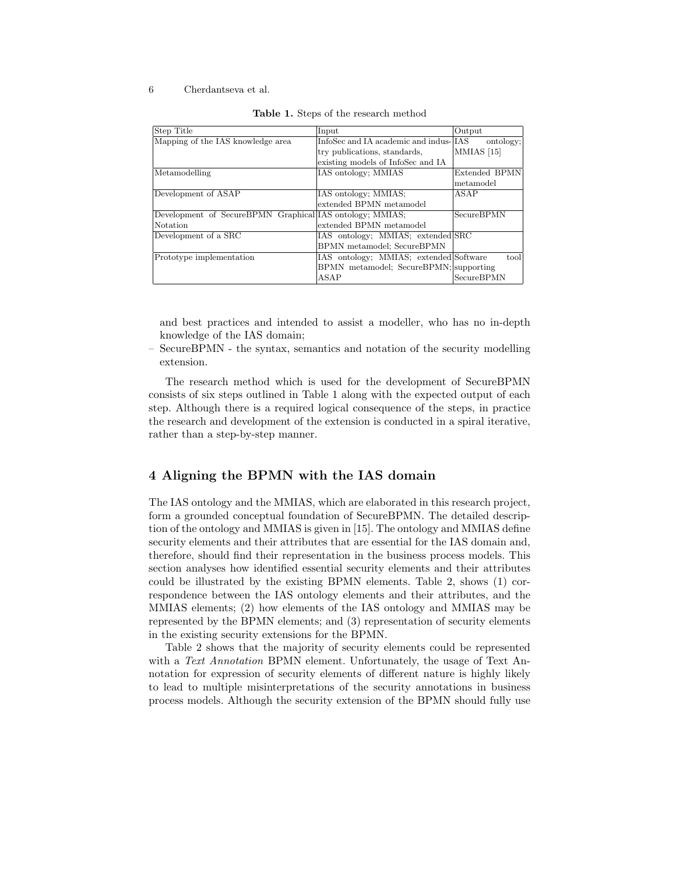#### 6 Cherdantseva et al.

| Step Title                                               | Input                                  | Output                |
|----------------------------------------------------------|----------------------------------------|-----------------------|
| Mapping of the IAS knowledge area                        | InfoSec and IA academic and indus-IIAS | ontology:             |
|                                                          | try publications, standards,           | MMIAS <sup>[15]</sup> |
|                                                          | existing models of InfoSec and IA      |                       |
| Metamodelling                                            | IAS ontology; MMIAS                    | Extended BPMN         |
|                                                          |                                        | metamodel             |
| Development of ASAP                                      | IAS ontology; MMIAS;                   | ASAP                  |
|                                                          | extended BPMN metamodel                |                       |
| Development of SecureBPMN Graphical IAS ontology; MMIAS; |                                        | SecureBPMN            |
| Notation                                                 | extended BPMN metamodel                |                       |
| Development of a SRC                                     | IAS ontology; MMIAS; extended SRC      |                       |
|                                                          | BPMN metamodel; SecureBPMN             |                       |
| Prototype implementation                                 | IAS ontology; MMIAS; extended Software | tool                  |
|                                                          | BPMN metamodel; SecureBPMN; supporting |                       |
|                                                          | ASAP                                   | <b>SecureBPMN</b>     |

Table 1. Steps of the research method

and best practices and intended to assist a modeller, who has no in-depth knowledge of the IAS domain;

– SecureBPMN - the syntax, semantics and notation of the security modelling extension.

The research method which is used for the development of SecureBPMN consists of six steps outlined in Table 1 along with the expected output of each step. Although there is a required logical consequence of the steps, in practice the research and development of the extension is conducted in a spiral iterative, rather than a step-by-step manner.

# 4 Aligning the BPMN with the IAS domain

The IAS ontology and the MMIAS, which are elaborated in this research project, form a grounded conceptual foundation of SecureBPMN. The detailed description of the ontology and MMIAS is given in [15]. The ontology and MMIAS define security elements and their attributes that are essential for the IAS domain and, therefore, should find their representation in the business process models. This section analyses how identified essential security elements and their attributes could be illustrated by the existing BPMN elements. Table 2, shows (1) correspondence between the IAS ontology elements and their attributes, and the MMIAS elements; (2) how elements of the IAS ontology and MMIAS may be represented by the BPMN elements; and (3) representation of security elements in the existing security extensions for the BPMN.

Table 2 shows that the majority of security elements could be represented with a Text Annotation BPMN element. Unfortunately, the usage of Text Annotation for expression of security elements of different nature is highly likely to lead to multiple misinterpretations of the security annotations in business process models. Although the security extension of the BPMN should fully use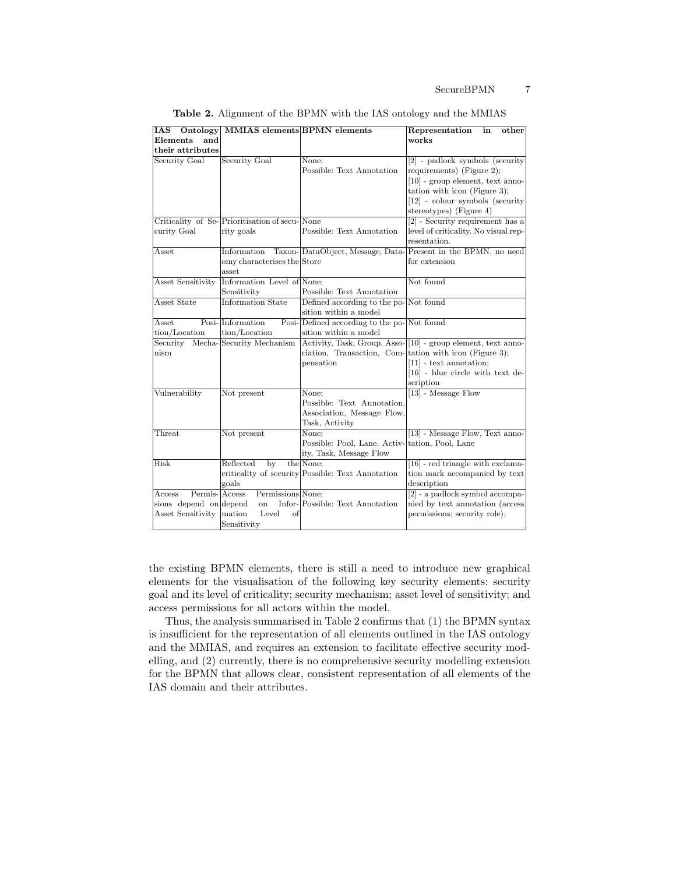#### SecureBPMN 7

| IAS<br>Ontology                                                              | MMIAS elements BPMN elements                                    |                                                                            | Representation<br>other<br>in                                                                                                                                                                        |
|------------------------------------------------------------------------------|-----------------------------------------------------------------|----------------------------------------------------------------------------|------------------------------------------------------------------------------------------------------------------------------------------------------------------------------------------------------|
| Elements<br>and                                                              |                                                                 |                                                                            | works                                                                                                                                                                                                |
| their attributes                                                             |                                                                 |                                                                            |                                                                                                                                                                                                      |
| Security Goal                                                                | Security Goal                                                   | None;<br>Possible: Text Annotation                                         | $[2]$ - padlock symbols (security<br>requirements) (Figure 2);<br>$[10]$ - group element, text anno-<br>tation with icon (Figure 3);<br>$[12]$ - colour symbols (security<br>stereotypes) (Figure 4) |
|                                                                              | Criticality of Se-Prioritisation of secu-None                   |                                                                            | $[2]$ - Security requirement has a                                                                                                                                                                   |
| curity Goal                                                                  | rity goals                                                      | Possible: Text Annotation                                                  | level of criticality. No visual rep-<br>resentation.                                                                                                                                                 |
| $\operatorname{Asset}$                                                       | omy characterises the Store<br>asset                            |                                                                            | Information Taxon-DataObject, Message, Data-Present in the BPMN, no need<br>for extension                                                                                                            |
| Asset Sensitivity                                                            | Information Level of None;<br>Sensitivity                       | Possible: Text Annotation                                                  | Not found                                                                                                                                                                                            |
| <b>Asset State</b>                                                           | <b>Information State</b>                                        | Defined according to the po-Not found<br>sition within a model             |                                                                                                                                                                                                      |
| Asset                                                                        | Posi-Information                                                | Posi-Defined according to the po-Not found                                 |                                                                                                                                                                                                      |
| tion/Location                                                                | tion/Location                                                   | sition within a model                                                      |                                                                                                                                                                                                      |
| Security                                                                     | Mecha-Security Mechanism                                        |                                                                            | Activity, Task, Group, Asso-[10] - group element, text anno-                                                                                                                                         |
| nism                                                                         |                                                                 | ciation, Transaction, Com- tation with icon (Figure 3);                    |                                                                                                                                                                                                      |
|                                                                              |                                                                 | pensation                                                                  | $[11]$ - text annotation;<br>$[16]$ - blue circle with text de-                                                                                                                                      |
| Vulnerability                                                                | Not present                                                     | None;                                                                      | scription<br>$[13]$ - Message Flow                                                                                                                                                                   |
|                                                                              |                                                                 | Possible: Text Annotation,<br>Association, Message Flow,<br>Task, Activity |                                                                                                                                                                                                      |
| $\footnotesize{\texttt{Thread}}$                                             | Not present                                                     | None;<br>Possible: Pool, Lane, Activ-<br>ity, Task, Message Flow           | [13] - Message Flow, Text anno-<br>tation, Pool, Lane                                                                                                                                                |
| <b>Risk</b>                                                                  | Reflected<br>$\overline{bv}$<br>goals                           | the None;<br>criticality of security Possible: Text Annotation             | $[16]$ - red triangle with exclama-<br>tion mark accompanied by text<br>description                                                                                                                  |
| Permis-Access<br>$\rm Access$<br>sions depend on depend<br>Asset Sensitivity | Permissions None;<br>on<br>mation<br>Level<br>of<br>Sensitivity | Infor-Possible: Text Annotation                                            | $[2]$ - a padlock symbol accompa-<br>nied by text annotation (access<br>permissions; security role);                                                                                                 |

Table 2. Alignment of the BPMN with the IAS ontology and the MMIAS

the existing BPMN elements, there is still a need to introduce new graphical elements for the visualisation of the following key security elements: security goal and its level of criticality; security mechanism; asset level of sensitivity; and access permissions for all actors within the model.

Thus, the analysis summarised in Table 2 confirms that (1) the BPMN syntax is insufficient for the representation of all elements outlined in the IAS ontology and the MMIAS, and requires an extension to facilitate effective security modelling, and (2) currently, there is no comprehensive security modelling extension for the BPMN that allows clear, consistent representation of all elements of the IAS domain and their attributes.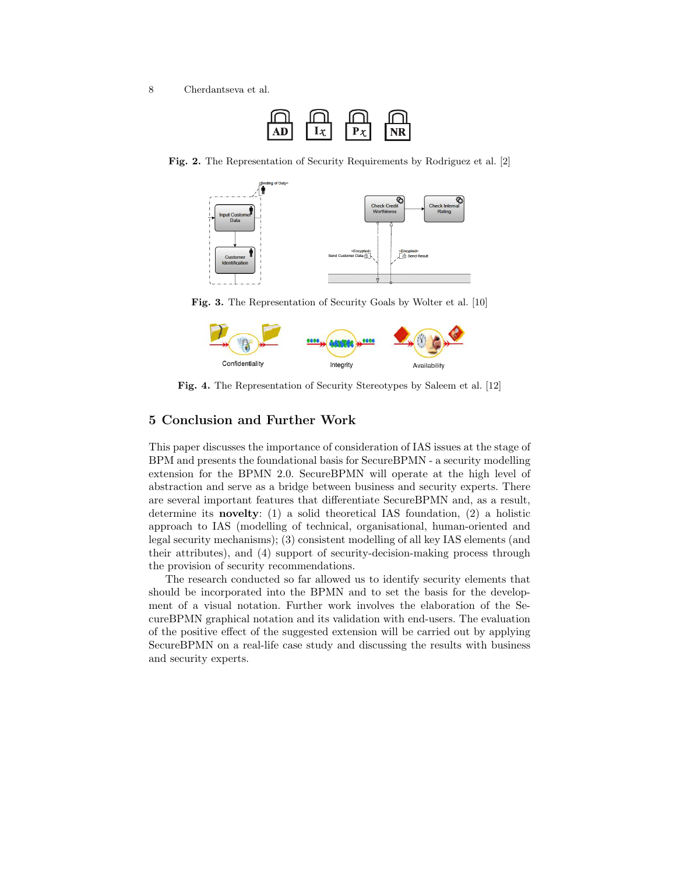8 Cherdantseva et al.



Fig. 2. The Representation of Security Requirements by Rodriguez et al. [2]



Fig. 3. The Representation of Security Goals by Wolter et al. [10]



Fig. 4. The Representation of Security Stereotypes by Saleem et al. [12]

# 5 Conclusion and Further Work

This paper discusses the importance of consideration of IAS issues at the stage of BPM and presents the foundational basis for SecureBPMN - a security modelling extension for the BPMN 2.0. SecureBPMN will operate at the high level of abstraction and serve as a bridge between business and security experts. There are several important features that differentiate SecureBPMN and, as a result, determine its **novelty**: (1) a solid theoretical IAS foundation, (2) a holistic approach to IAS (modelling of technical, organisational, human-oriented and legal security mechanisms); (3) consistent modelling of all key IAS elements (and their attributes), and (4) support of security-decision-making process through the provision of security recommendations.

The research conducted so far allowed us to identify security elements that should be incorporated into the BPMN and to set the basis for the development of a visual notation. Further work involves the elaboration of the SecureBPMN graphical notation and its validation with end-users. The evaluation of the positive effect of the suggested extension will be carried out by applying SecureBPMN on a real-life case study and discussing the results with business and security experts.